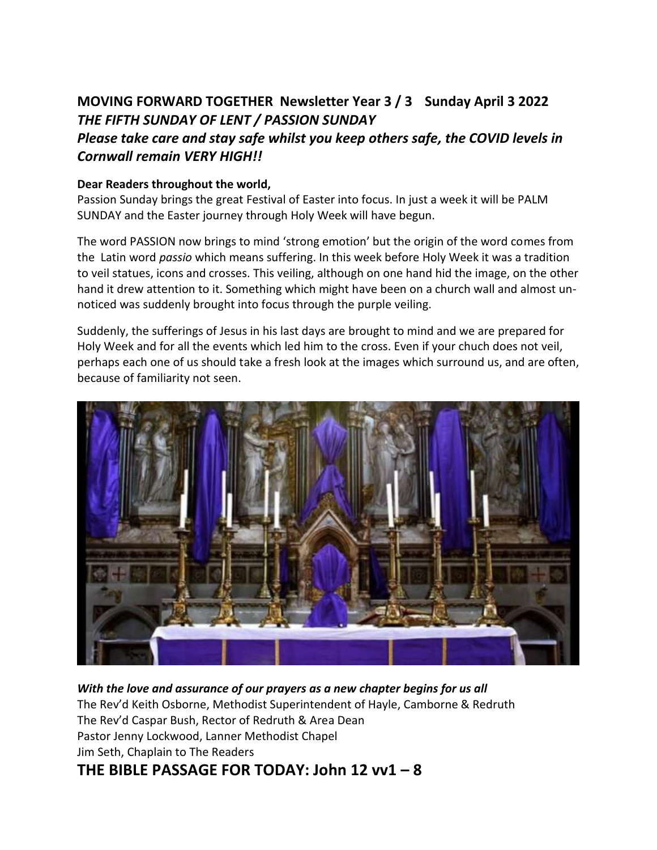### **MOVING FORWARD TOGETHER Newsletter Year 3 / 3 Sunday April 3 2022** *THE FIFTH SUNDAY OF LENT / PASSION SUNDAY*

### *Please take care and stay safe whilst you keep others safe, the COVID levels in Cornwall remain VERY HIGH!!*

#### **Dear Readers throughout the world,**

Passion Sunday brings the great Festival of Easter into focus. In just a week it will be PALM SUNDAY and the Easter journey through Holy Week will have begun.

The word PASSION now brings to mind 'strong emotion' but the origin of the word comes from the Latin word *passio* which means suffering. In this week before Holy Week it was a tradition to veil statues, icons and crosses. This veiling, although on one hand hid the image, on the other hand it drew attention to it. Something which might have been on a church wall and almost unnoticed was suddenly brought into focus through the purple veiling.

Suddenly, the sufferings of Jesus in his last days are brought to mind and we are prepared for Holy Week and for all the events which led him to the cross. Even if your chuch does not veil, perhaps each one of us should take a fresh look at the images which surround us, and are often, because of familiarity not seen.



*With the love and assurance of our prayers as a new chapter begins for us all*  The Rev'd Keith Osborne, Methodist Superintendent of Hayle, Camborne & Redruth The Rev'd Caspar Bush, Rector of Redruth & Area Dean Pastor Jenny Lockwood, Lanner Methodist Chapel Jim Seth, Chaplain to The Readers **THE BIBLE PASSAGE FOR TODAY: John 12 vv1 – 8**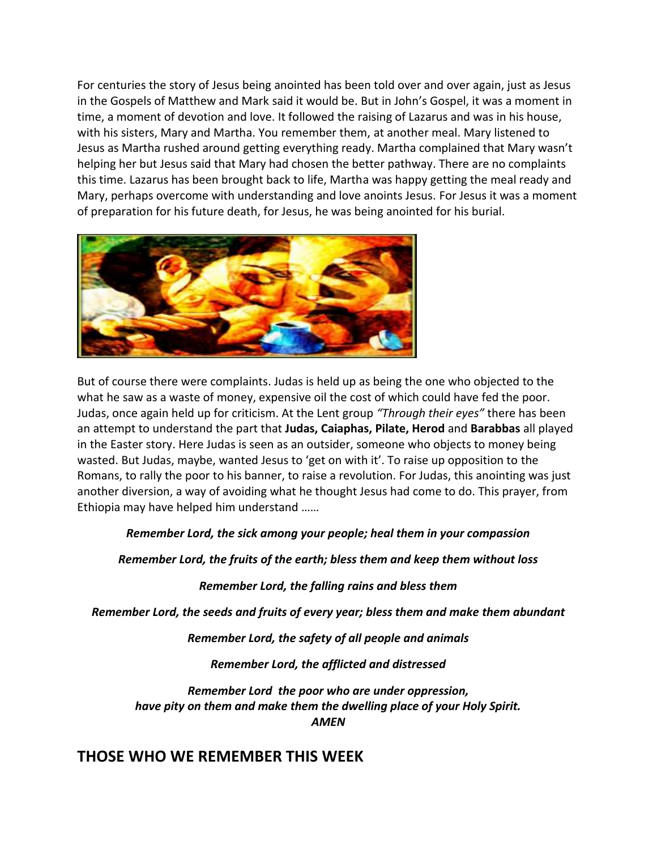For centuries the story of Jesus being anointed has been told over and over again, just as Jesus in the Gospels of Matthew and Mark said it would be. But in John's Gospel, it was a moment in time, a moment of devotion and love. It followed the raising of Lazarus and was in his house, with his sisters, Mary and Martha. You remember them, at another meal. Mary listened to Jesus as Martha rushed around getting everything ready. Martha complained that Mary wasn't helping her but Jesus said that Mary had chosen the better pathway. There are no complaints this time. Lazarus has been brought back to life, Martha was happy getting the meal ready and Mary, perhaps overcome with understanding and love anoints Jesus. For Jesus it was a moment of preparation for his future death, for Jesus, he was being anointed for his burial.



But of course there were complaints. Judas is held up as being the one who objected to the what he saw as a waste of money, expensive oil the cost of which could have fed the poor. Judas, once again held up for criticism. At the Lent group *"Through their eyes"* there has been an attempt to understand the part that **Judas, Caiaphas, Pilate, Herod** and **Barabbas** all played in the Easter story. Here Judas is seen as an outsider, someone who objects to money being wasted. But Judas, maybe, wanted Jesus to 'get on with it'. To raise up opposition to the Romans, to rally the poor to his banner, to raise a revolution. For Judas, this anointing was just another diversion, a way of avoiding what he thought Jesus had come to do. This prayer, from Ethiopia may have helped him understand ……

#### *Remember Lord, the sick among your people; heal them in your compassion*

*Remember Lord, the fruits of the earth; bless them and keep them without loss*

#### *Remember Lord, the falling rains and bless them*

*Remember Lord, the seeds and fruits of every year; bless them and make them abundant*

*Remember Lord, the safety of all people and animals*

*Remember Lord, the afflicted and distressed*

*Remember Lord the poor who are under oppression, have pity on them and make them the dwelling place of your Holy Spirit. AMEN*

### **THOSE WHO WE REMEMBER THIS WEEK**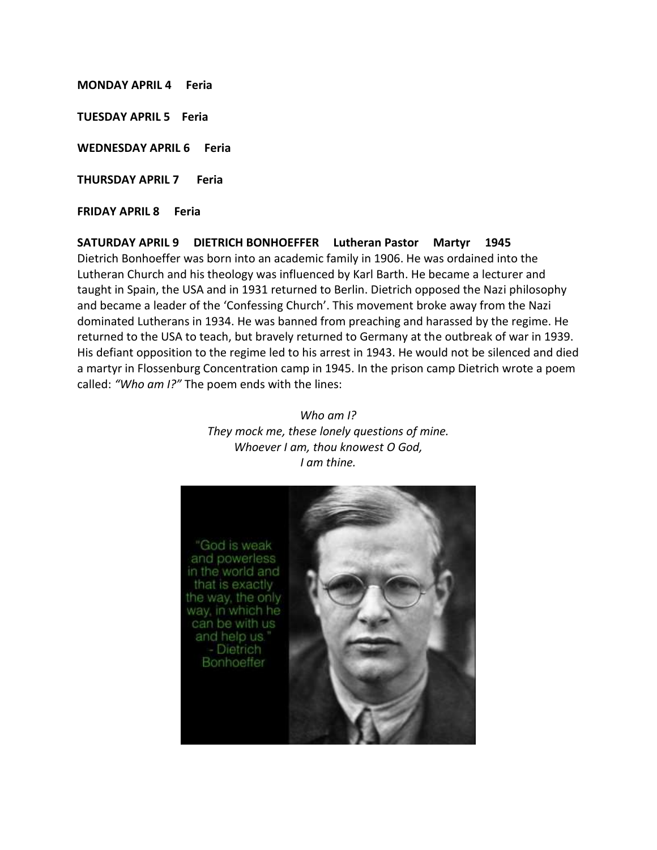**MONDAY APRIL 4 Feria** 

**TUESDAY APRIL 5 Feria**

**WEDNESDAY APRIL 6 Feria**

**THURSDAY APRIL 7 Feria**

called: *"Who am I?"* The poem ends with the lines:

**FRIDAY APRIL 8 Feria** 

**SATURDAY APRIL 9 DIETRICH BONHOEFFER Lutheran Pastor Martyr 1945** Dietrich Bonhoeffer was born into an academic family in 1906. He was ordained into the Lutheran Church and his theology was influenced by Karl Barth. He became a lecturer and taught in Spain, the USA and in 1931 returned to Berlin. Dietrich opposed the Nazi philosophy and became a leader of the 'Confessing Church'. This movement broke away from the Nazi dominated Lutherans in 1934. He was banned from preaching and harassed by the regime. He returned to the USA to teach, but bravely returned to Germany at the outbreak of war in 1939. His defiant opposition to the regime led to his arrest in 1943. He would not be silenced and died a martyr in Flossenburg Concentration camp in 1945. In the prison camp Dietrich wrote a poem

> *Who am I? They mock me, these lonely questions of mine. Whoever I am, thou knowest O God, I am thine.*

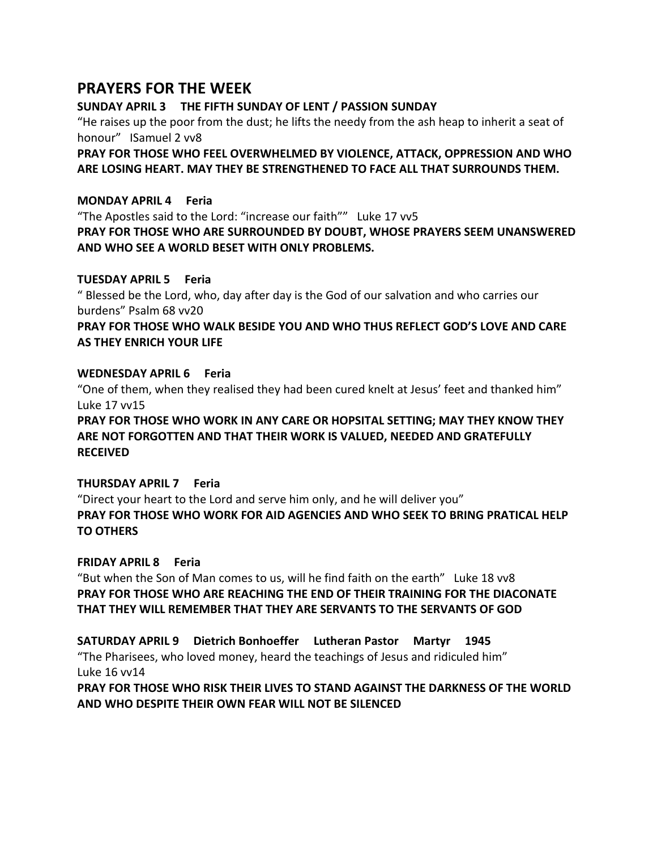#### **PRAYERS FOR THE WEEK**

**SUNDAY APRIL 3 THE FIFTH SUNDAY OF LENT / PASSION SUNDAY**

"He raises up the poor from the dust; he lifts the needy from the ash heap to inherit a seat of honour" ISamuel 2 vv8

**PRAY FOR THOSE WHO FEEL OVERWHELMED BY VIOLENCE, ATTACK, OPPRESSION AND WHO ARE LOSING HEART. MAY THEY BE STRENGTHENED TO FACE ALL THAT SURROUNDS THEM.**

#### **MONDAY APRIL 4 Feria**

"The Apostles said to the Lord: "increase our faith"" Luke 17 vv5 **PRAY FOR THOSE WHO ARE SURROUNDED BY DOUBT, WHOSE PRAYERS SEEM UNANSWERED AND WHO SEE A WORLD BESET WITH ONLY PROBLEMS.** 

#### **TUESDAY APRIL 5 Feria**

" Blessed be the Lord, who, day after day is the God of our salvation and who carries our burdens" Psalm 68 vv20

**PRAY FOR THOSE WHO WALK BESIDE YOU AND WHO THUS REFLECT GOD'S LOVE AND CARE AS THEY ENRICH YOUR LIFE**

#### **WEDNESDAY APRIL 6 Feria**

"One of them, when they realised they had been cured knelt at Jesus' feet and thanked him" Luke 17 vv15

**PRAY FOR THOSE WHO WORK IN ANY CARE OR HOPSITAL SETTING; MAY THEY KNOW THEY ARE NOT FORGOTTEN AND THAT THEIR WORK IS VALUED, NEEDED AND GRATEFULLY RECEIVED** 

#### **THURSDAY APRIL 7 Feria**

"Direct your heart to the Lord and serve him only, and he will deliver you" **PRAY FOR THOSE WHO WORK FOR AID AGENCIES AND WHO SEEK TO BRING PRATICAL HELP TO OTHERS** 

#### **FRIDAY APRIL 8 Feria**

"But when the Son of Man comes to us, will he find faith on the earth" Luke 18 vv8 **PRAY FOR THOSE WHO ARE REACHING THE END OF THEIR TRAINING FOR THE DIACONATE THAT THEY WILL REMEMBER THAT THEY ARE SERVANTS TO THE SERVANTS OF GOD**

**SATURDAY APRIL 9 Dietrich Bonhoeffer Lutheran Pastor Martyr 1945** "The Pharisees, who loved money, heard the teachings of Jesus and ridiculed him" Luke 16 vv14

**PRAY FOR THOSE WHO RISK THEIR LIVES TO STAND AGAINST THE DARKNESS OF THE WORLD AND WHO DESPITE THEIR OWN FEAR WILL NOT BE SILENCED**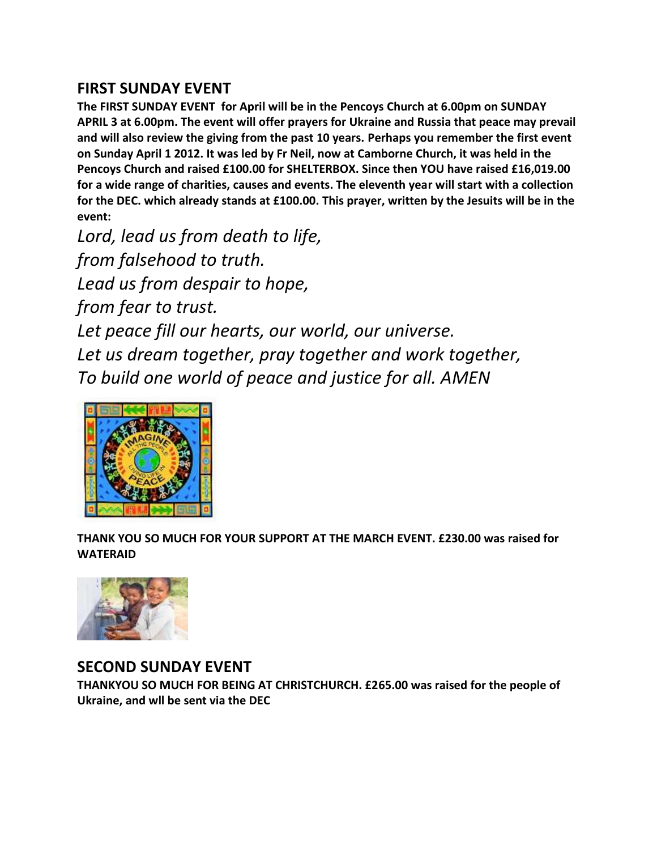### **FIRST SUNDAY EVENT**

**The FIRST SUNDAY EVENT for April will be in the Pencoys Church at 6.00pm on SUNDAY APRIL 3 at 6.00pm. The event will offer prayers for Ukraine and Russia that peace may prevail and will also review the giving from the past 10 years. Perhaps you remember the first event on Sunday April 1 2012. It was led by Fr Neil, now at Camborne Church, it was held in the Pencoys Church and raised £100.00 for SHELTERBOX. Since then YOU have raised £16,019.00 for a wide range of charities, causes and events. The eleventh year will start with a collection for the DEC. which already stands at £100.00. This prayer, written by the Jesuits will be in the event:**

*Lord, lead us from death to life, from falsehood to truth. Lead us from despair to hope, from fear to trust. Let peace fill our hearts, our world, our universe. Let us dream together, pray together and work together, To build one world of peace and justice for all. AMEN*



**THANK YOU SO MUCH FOR YOUR SUPPORT AT THE MARCH EVENT. £230.00 was raised for WATERAID**



#### **SECOND SUNDAY EVENT**

**THANKYOU SO MUCH FOR BEING AT CHRISTCHURCH. £265.00 was raised for the people of Ukraine, and wll be sent via the DEC**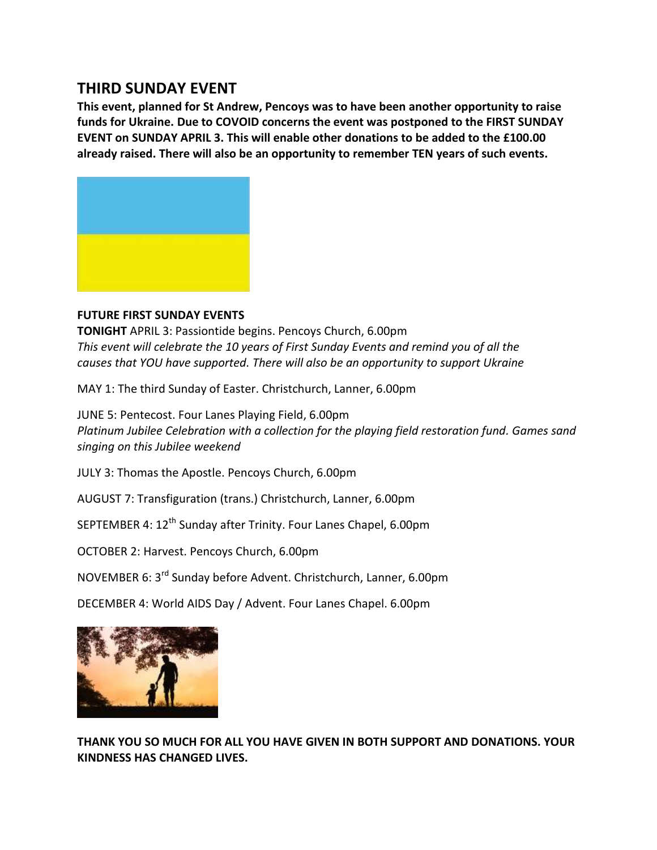### **THIRD SUNDAY EVENT**

**This event, planned for St Andrew, Pencoys was to have been another opportunity to raise funds for Ukraine. Due to COVOID concerns the event was postponed to the FIRST SUNDAY EVENT on SUNDAY APRIL 3. This will enable other donations to be added to the £100.00 already raised. There will also be an opportunity to remember TEN years of such events.** 



#### **FUTURE FIRST SUNDAY EVENTS**

**TONIGHT** APRIL 3: Passiontide begins. Pencoys Church, 6.00pm *This event will celebrate the 10 years of First Sunday Events and remind you of all the causes that YOU have supported. There will also be an opportunity to support Ukraine*

MAY 1: The third Sunday of Easter. Christchurch, Lanner, 6.00pm

JUNE 5: Pentecost. Four Lanes Playing Field, 6.00pm *Platinum Jubilee Celebration with a collection for the playing field restoration fund. Games sand singing on this Jubilee weekend*

JULY 3: Thomas the Apostle. Pencoys Church, 6.00pm

AUGUST 7: Transfiguration (trans.) Christchurch, Lanner, 6.00pm

SEPTEMBER 4: 12<sup>th</sup> Sunday after Trinity. Four Lanes Chapel, 6.00pm

OCTOBER 2: Harvest. Pencoys Church, 6.00pm

NOVEMBER 6: 3rd Sunday before Advent. Christchurch, Lanner, 6.00pm

DECEMBER 4: World AIDS Day / Advent. Four Lanes Chapel. 6.00pm



**THANK YOU SO MUCH FOR ALL YOU HAVE GIVEN IN BOTH SUPPORT AND DONATIONS. YOUR KINDNESS HAS CHANGED LIVES.**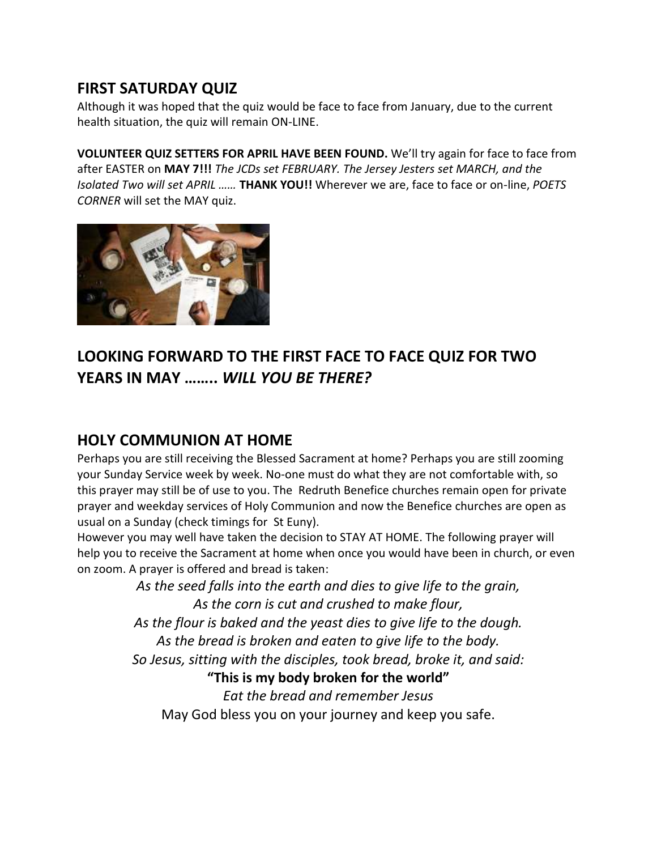### **FIRST SATURDAY QUIZ**

Although it was hoped that the quiz would be face to face from January, due to the current health situation, the quiz will remain ON-LINE.

**VOLUNTEER QUIZ SETTERS FOR APRIL HAVE BEEN FOUND.** We'll try again for face to face from after EASTER on **MAY 7!!!** *The JCDs set FEBRUARY. The Jersey Jesters set MARCH, and the Isolated Two will set APRIL ……* **THANK YOU!!** Wherever we are, face to face or on-line, *POETS CORNER* will set the MAY quiz.



# **LOOKING FORWARD TO THE FIRST FACE TO FACE QUIZ FOR TWO YEARS IN MAY ……..** *WILL YOU BE THERE?*

### **HOLY COMMUNION AT HOME**

Perhaps you are still receiving the Blessed Sacrament at home? Perhaps you are still zooming your Sunday Service week by week. No-one must do what they are not comfortable with, so this prayer may still be of use to you. The Redruth Benefice churches remain open for private prayer and weekday services of Holy Communion and now the Benefice churches are open as usual on a Sunday (check timings for St Euny).

However you may well have taken the decision to STAY AT HOME. The following prayer will help you to receive the Sacrament at home when once you would have been in church, or even on zoom. A prayer is offered and bread is taken:

> *As the seed falls into the earth and dies to give life to the grain, As the corn is cut and crushed to make flour, As the flour is baked and the yeast dies to give life to the dough. As the bread is broken and eaten to give life to the body. So Jesus, sitting with the disciples, took bread, broke it, and said:* **"This is my body broken for the world"** *Eat the bread and remember Jesus*

May God bless you on your journey and keep you safe.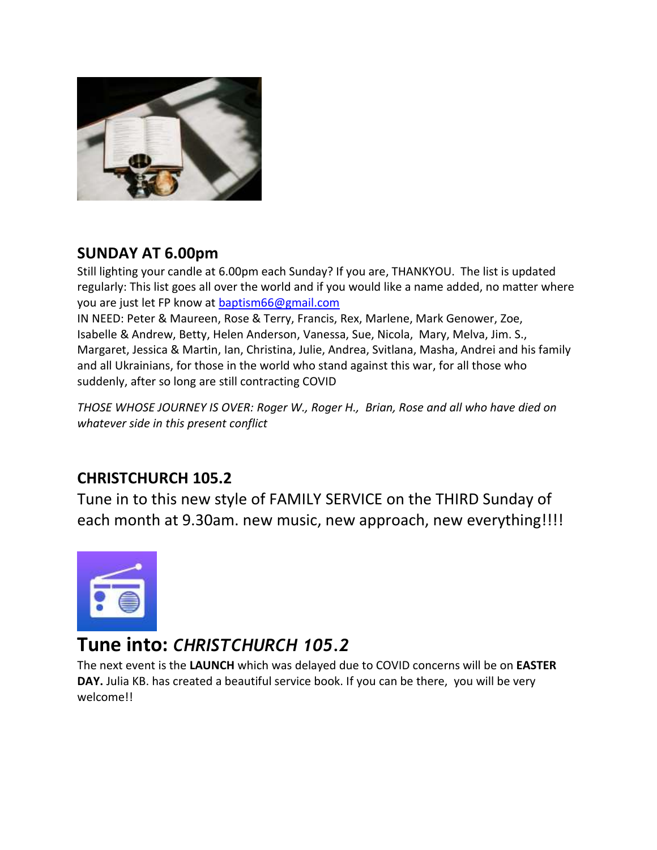

## **SUNDAY AT 6.00pm**

Still lighting your candle at 6.00pm each Sunday? If you are, THANKYOU. The list is updated regularly: This list goes all over the world and if you would like a name added, no matter where you are just let FP know at [baptism66@gmail.com](mailto:baptism66@gmail.com)

IN NEED: Peter & Maureen, Rose & Terry, Francis, Rex, Marlene, Mark Genower, Zoe, Isabelle & Andrew, Betty, Helen Anderson, Vanessa, Sue, Nicola, Mary, Melva, Jim. S., Margaret, Jessica & Martin, Ian, Christina, Julie, Andrea, Svitlana, Masha, Andrei and his family and all Ukrainians, for those in the world who stand against this war, for all those who suddenly, after so long are still contracting COVID

*THOSE WHOSE JOURNEY IS OVER: Roger W., Roger H., Brian, Rose and all who have died on whatever side in this present conflict*

# **CHRISTCHURCH 105.2**

Tune in to this new style of FAMILY SERVICE on the THIRD Sunday of each month at 9.30am. new music, new approach, new everything!!!!



# **Tune into:** *CHRISTCHURCH 105.2*

The next event is the **LAUNCH** which was delayed due to COVID concerns will be on **EASTER DAY.** Julia KB. has created a beautiful service book. If you can be there, you will be very welcome!!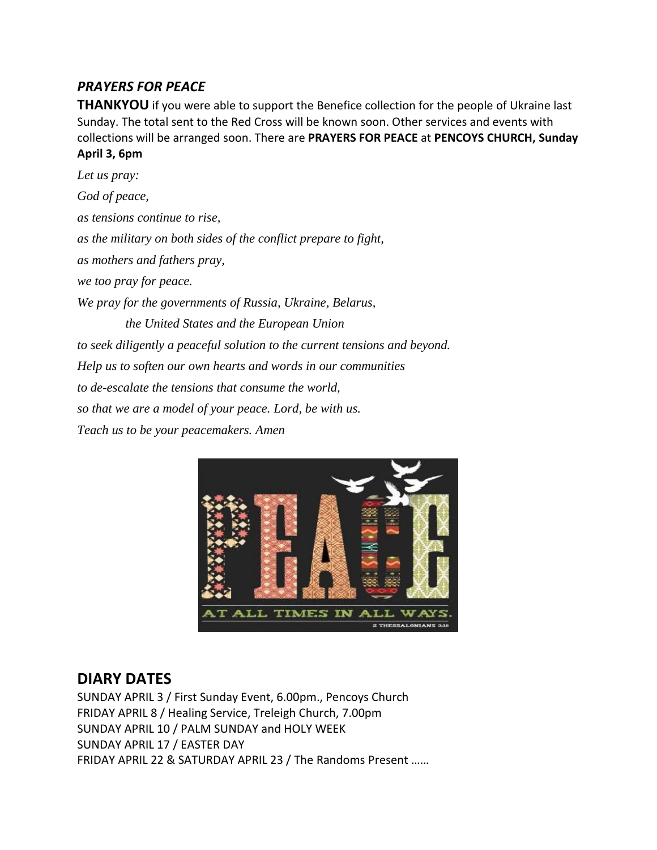#### *PRAYERS FOR PEACE*

**THANKYOU** if you were able to support the Benefice collection for the people of Ukraine last Sunday. The total sent to the Red Cross will be known soon. Other services and events with collections will be arranged soon. There are **PRAYERS FOR PEACE** at **PENCOYS CHURCH, Sunday April 3, 6pm**

*Let us pray: God of peace, as tensions continue to rise, as the military on both sides of the conflict prepare to fight, as mothers and fathers pray, we too pray for peace. We pray for the governments of Russia, Ukraine, Belarus, the United States and the European Union to seek diligently a peaceful solution to the current tensions and beyond. Help us to soften our own hearts and words in our communities to de-escalate the tensions that consume the world, so that we are a model of your peace. Lord, be with us. Teach us to be your peacemakers. Amen*



### **DIARY DATES**

SUNDAY APRIL 3 / First Sunday Event, 6.00pm., Pencoys Church FRIDAY APRIL 8 / Healing Service, Treleigh Church, 7.00pm SUNDAY APRIL 10 / PALM SUNDAY and HOLY WEEK SUNDAY APRIL 17 / EASTER DAY FRIDAY APRIL 22 & SATURDAY APRIL 23 / The Randoms Present ……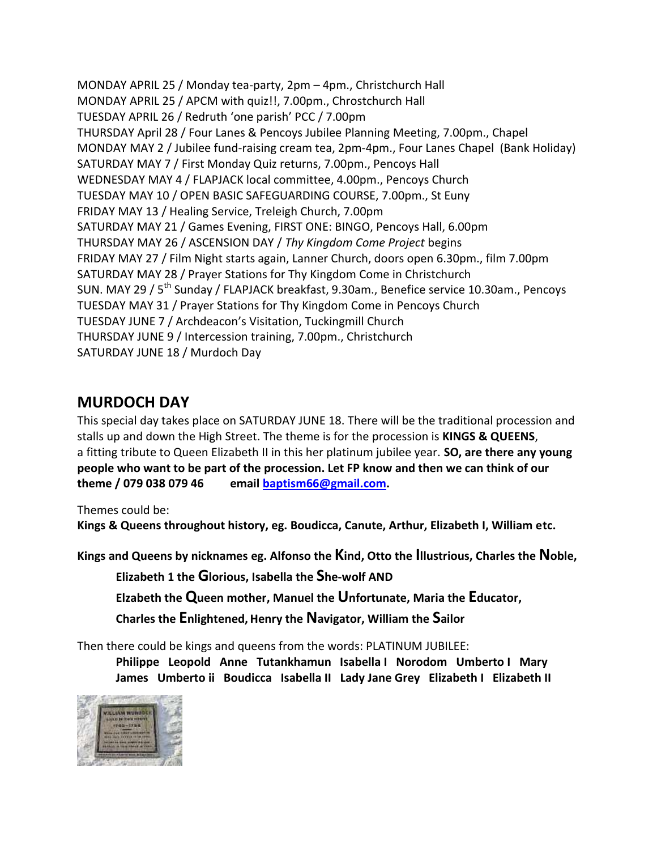MONDAY APRIL 25 / Monday tea-party, 2pm – 4pm., Christchurch Hall MONDAY APRIL 25 / APCM with quiz!!, 7.00pm., Chrostchurch Hall TUESDAY APRIL 26 / Redruth 'one parish' PCC / 7.00pm THURSDAY April 28 / Four Lanes & Pencoys Jubilee Planning Meeting, 7.00pm., Chapel MONDAY MAY 2 / Jubilee fund-raising cream tea, 2pm-4pm., Four Lanes Chapel (Bank Holiday) SATURDAY MAY 7 / First Monday Quiz returns, 7.00pm., Pencoys Hall WEDNESDAY MAY 4 / FLAPJACK local committee, 4.00pm., Pencoys Church TUESDAY MAY 10 / OPEN BASIC SAFEGUARDING COURSE, 7.00pm., St Euny FRIDAY MAY 13 / Healing Service, Treleigh Church, 7.00pm SATURDAY MAY 21 / Games Evening, FIRST ONE: BINGO, Pencoys Hall, 6.00pm THURSDAY MAY 26 / ASCENSION DAY / *Thy Kingdom Come Project* begins FRIDAY MAY 27 / Film Night starts again, Lanner Church, doors open 6.30pm., film 7.00pm SATURDAY MAY 28 / Prayer Stations for Thy Kingdom Come in Christchurch SUN. MAY 29 / 5<sup>th</sup> Sunday / FLAPJACK breakfast, 9.30am., Benefice service 10.30am., Pencoys TUESDAY MAY 31 / Prayer Stations for Thy Kingdom Come in Pencoys Church TUESDAY JUNE 7 / Archdeacon's Visitation, Tuckingmill Church THURSDAY JUNE 9 / Intercession training, 7.00pm., Christchurch SATURDAY JUNE 18 / Murdoch Day

### **MURDOCH DAY**

This special day takes place on SATURDAY JUNE 18. There will be the traditional procession and stalls up and down the High Street. The theme is for the procession is **KINGS & QUEENS**, a fitting tribute to Queen Elizabeth II in this her platinum jubilee year. **SO, are there any young people who want to be part of the procession. Let FP know and then we can think of our theme / 079 038 079 46 email [baptism66@gmail.com.](mailto:baptism66@gmail.com)**

Themes could be:

**Kings & Queens throughout history, eg. Boudicca, Canute, Arthur, Elizabeth I, William etc.** 

**Kings and Queens by nicknames eg. Alfonso the Kind, Otto the Illustrious, Charles the Noble,**

**Elizabeth 1 the Glorious, Isabella the She-wolf AND** 

**Elzabeth the Queen mother, Manuel the Unfortunate, Maria the Educator,** 

**Charles the Enlightened,Henry the Navigator, William the Sailor**

Then there could be kings and queens from the words: PLATINUM JUBILEE:

**Philippe Leopold Anne Tutankhamun Isabella I Norodom Umberto I Mary James Umberto ii Boudicca Isabella II Lady Jane Grey Elizabeth I Elizabeth II**